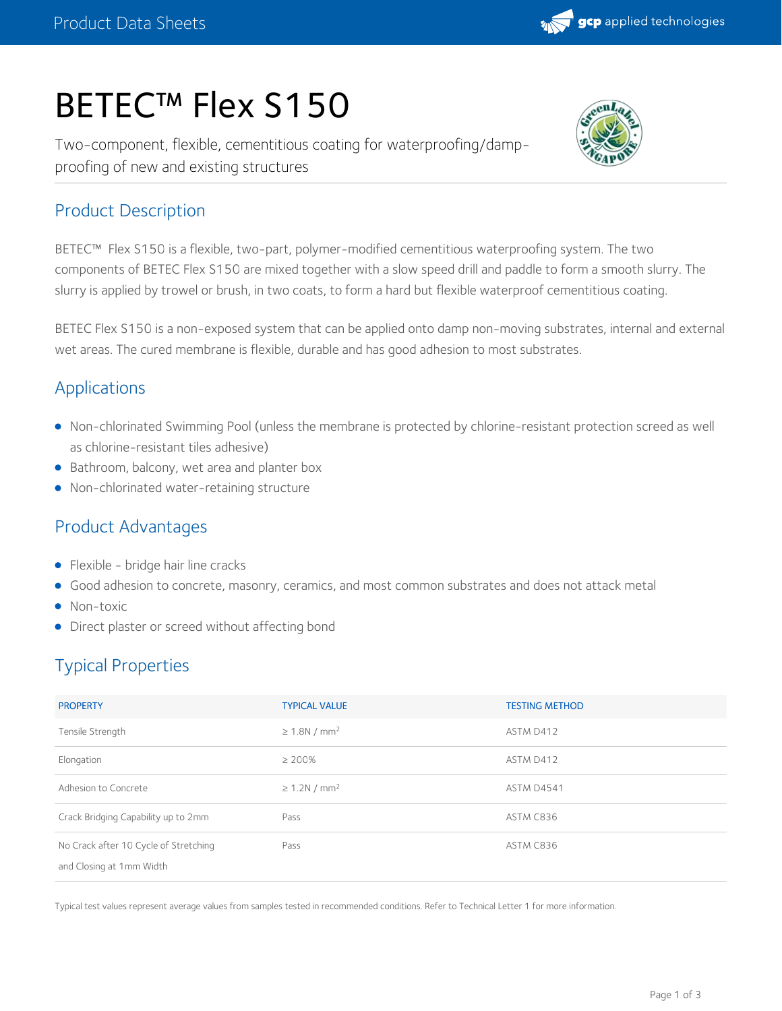

# BETEC™ Flex S150

Two-component, flexible, cementitious coating for waterproofing/damp proofing of new and existing structures



## Product Description

BETEC™ Flex S150 is a flexible, two-part, polymer-modified cementitious waterproofing system. The two components of BETEC Flex S150 are mixed together with a slow speed drill and paddle to form a smooth slurry. The slurry is applied by trowel or brush, in two coats, to form a hard but flexible waterproof cementitious coating.

BETEC Flex S150 is a non-exposed system that can be applied onto damp non-moving substrates, internal and external wet areas. The cured membrane is flexible, durable and has good adhesion to most substrates.

## Applications

- Non-chlorinated Swimming Pool (unless the membrane is protected by chlorine-resistant protection screed as well as chlorine-resistant tiles adhesive)
- **Bathroom, balcony, wet area and planter box**
- Non-chlorinated water-retaining structure

## Product Advantages

- Flexible bridge hair line cracks
- Good adhesion to concrete, masonry, ceramics, and most common substrates and does not attack metal
- Non-toxic
- Direct plaster or screed without affecting bond

# Typical Properties

| <b>PROPERTY</b>                                                   | <b>TYPICAL VALUE</b>           | <b>TESTING METHOD</b> |
|-------------------------------------------------------------------|--------------------------------|-----------------------|
| Tensile Strength                                                  | $\geq 1.8$ N / mm <sup>2</sup> | ASTM D412             |
| Elongation                                                        | $\geq 200\%$                   | ASTM D412             |
| Adhesion to Concrete                                              | $\geq$ 1.2N / mm <sup>2</sup>  | <b>ASTM D4541</b>     |
| Crack Bridging Capability up to 2mm                               | Pass                           | ASTM C836             |
| No Crack after 10 Cycle of Stretching<br>and Closing at 1mm Width | Pass                           | ASTM C836             |

Typical test values represent average values from samples tested in recommended conditions. Refer to Technical Letter 1 for more information.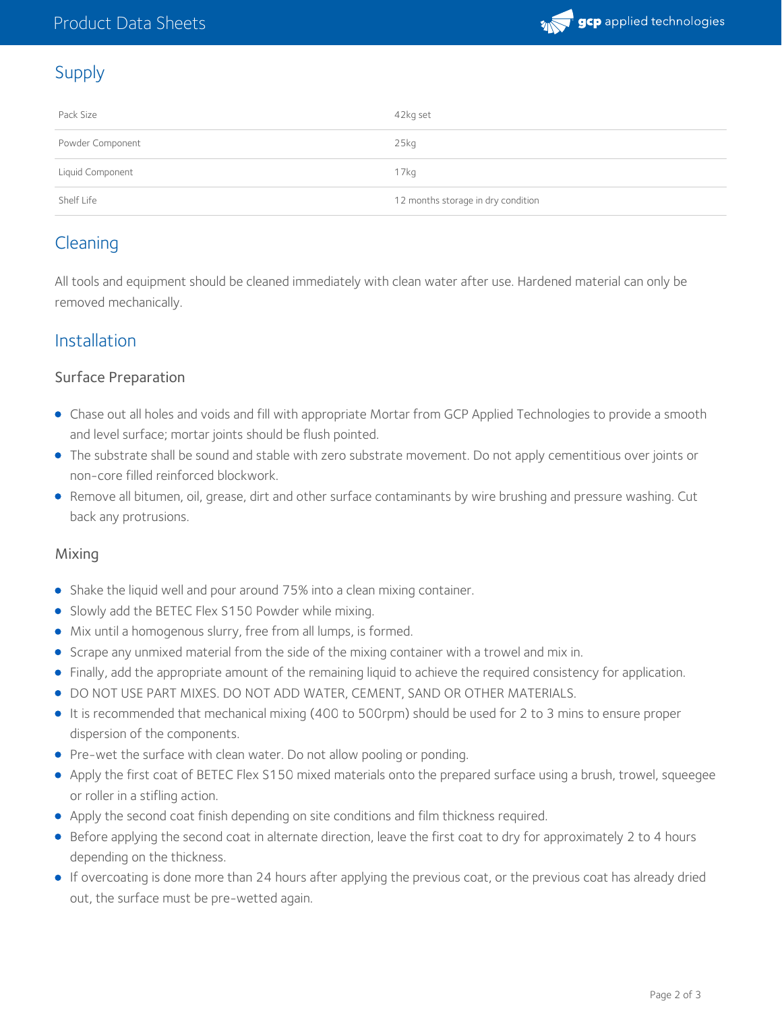

## Supply

| Pack Size        | 42kg set                           |
|------------------|------------------------------------|
| Powder Component | 25kq                               |
| Liquid Component | 17 <sub>kq</sub>                   |
| Shelf Life       | 12 months storage in dry condition |

## **Cleaning**

All tools and equipment should be cleaned immediately with clean water after use. Hardened material can only be removed mechanically.

## Installation

#### Surface Preparation

- Chase out all holes and voids and fill with appropriate Mortar from GCP Applied Technologies to provide a smooth and level surface; mortar joints should be flush pointed.
- The substrate shall be sound and stable with zero substrate movement. Do not apply cementitious over joints or non-core filled reinforced blockwork.
- Remove all bitumen, oil, grease, dirt and other surface contaminants by wire brushing and pressure washing. Cut back any protrusions.

#### Mixing

- Shake the liquid well and pour around 75% into a clean mixing container.
- Slowly add the BETEC Flex S150 Powder while mixing.
- Mix until a homogenous slurry, free from all lumps, is formed.
- Scrape any unmixed material from the side of the mixing container with a trowel and mix in.
- Finally, add the appropriate amount of the remaining liquid to achieve the required consistency for application.
- DO NOT USE PART MIXES. DO NOT ADD WATER, CEMENT, SAND OR OTHER MATERIALS.
- It is recommended that mechanical mixing (400 to 500rpm) should be used for 2 to 3 mins to ensure proper dispersion of the components.
- Pre-wet the surface with clean water. Do not allow pooling or ponding.
- Apply the first coat of BETEC Flex S150 mixed materials onto the prepared surface using a brush, trowel, squeegee or roller in a stifling action.
- Apply the second coat finish depending on site conditions and film thickness required.
- Before applying the second coat in alternate direction, leave the first coat to dry for approximately 2 to 4 hours depending on the thickness.
- If overcoating is done more than 24 hours after applying the previous coat, or the previous coat has already dried out, the surface must be pre-wetted again.